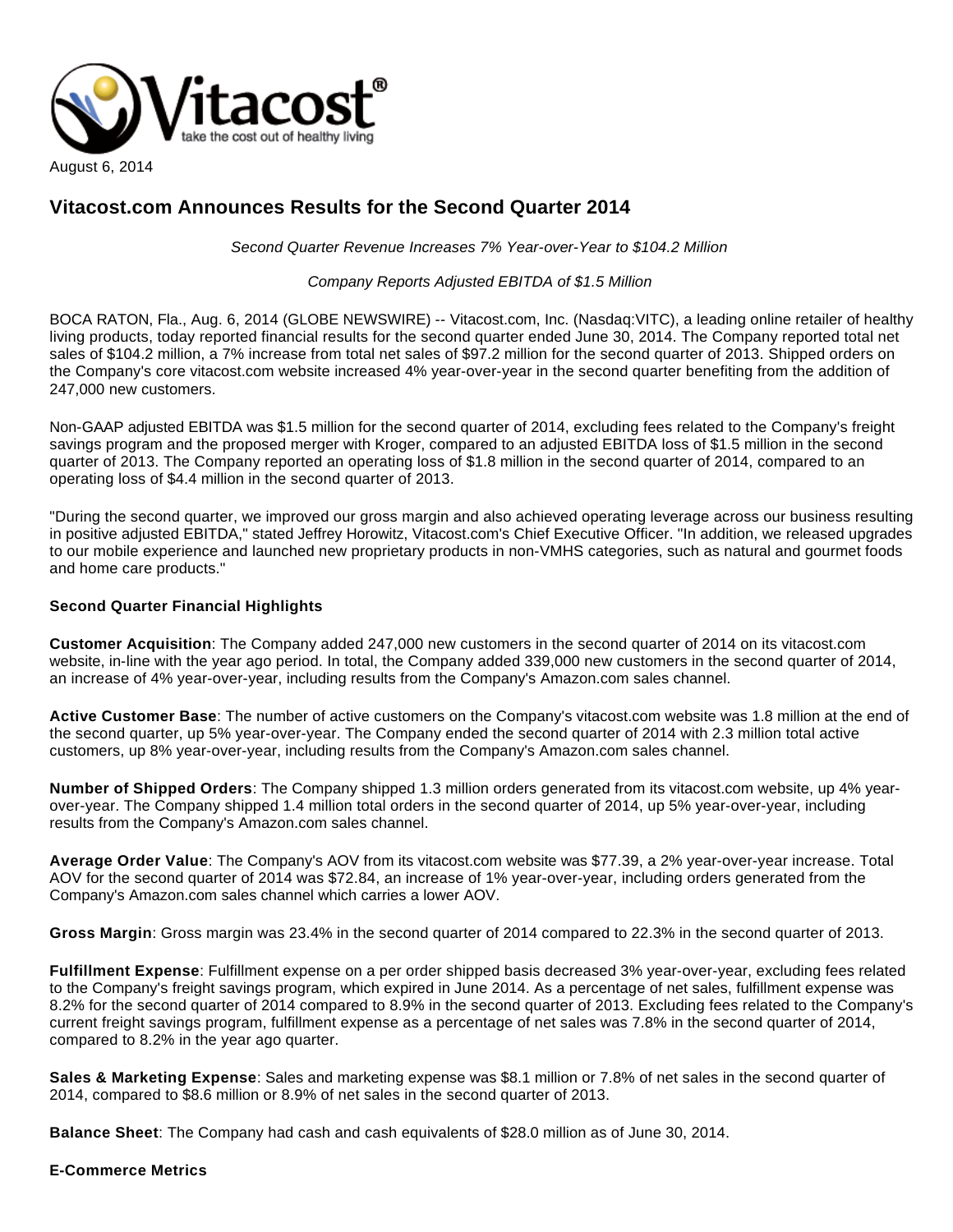

## **Vitacost.com Announces Results for the Second Quarter 2014**

Second Quarter Revenue Increases 7% Year-over-Year to \$104.2 Million

Company Reports Adjusted EBITDA of \$1.5 Million

BOCA RATON, Fla., Aug. 6, 2014 (GLOBE NEWSWIRE) -- Vitacost.com, Inc. (Nasdaq:VITC), a leading online retailer of healthy living products, today reported financial results for the second quarter ended June 30, 2014. The Company reported total net sales of \$104.2 million, a 7% increase from total net sales of \$97.2 million for the second quarter of 2013. Shipped orders on the Company's core vitacost.com website increased 4% year-over-year in the second quarter benefiting from the addition of 247,000 new customers.

Non-GAAP adjusted EBITDA was \$1.5 million for the second quarter of 2014, excluding fees related to the Company's freight savings program and the proposed merger with Kroger, compared to an adjusted EBITDA loss of \$1.5 million in the second quarter of 2013. The Company reported an operating loss of \$1.8 million in the second quarter of 2014, compared to an operating loss of \$4.4 million in the second quarter of 2013.

"During the second quarter, we improved our gross margin and also achieved operating leverage across our business resulting in positive adjusted EBITDA," stated Jeffrey Horowitz, Vitacost.com's Chief Executive Officer. "In addition, we released upgrades to our mobile experience and launched new proprietary products in non-VMHS categories, such as natural and gourmet foods and home care products."

## **Second Quarter Financial Highlights**

**Customer Acquisition**: The Company added 247,000 new customers in the second quarter of 2014 on its vitacost.com website, in-line with the year ago period. In total, the Company added 339,000 new customers in the second quarter of 2014, an increase of 4% year-over-year, including results from the Company's Amazon.com sales channel.

**Active Customer Base**: The number of active customers on the Company's vitacost.com website was 1.8 million at the end of the second quarter, up 5% year-over-year. The Company ended the second quarter of 2014 with 2.3 million total active customers, up 8% year-over-year, including results from the Company's Amazon.com sales channel.

**Number of Shipped Orders**: The Company shipped 1.3 million orders generated from its vitacost.com website, up 4% yearover-year. The Company shipped 1.4 million total orders in the second quarter of 2014, up 5% year-over-year, including results from the Company's Amazon.com sales channel.

**Average Order Value**: The Company's AOV from its vitacost.com website was \$77.39, a 2% year-over-year increase. Total AOV for the second quarter of 2014 was \$72.84, an increase of 1% year-over-year, including orders generated from the Company's Amazon.com sales channel which carries a lower AOV.

**Gross Margin**: Gross margin was 23.4% in the second quarter of 2014 compared to 22.3% in the second quarter of 2013.

**Fulfillment Expense**: Fulfillment expense on a per order shipped basis decreased 3% year-over-year, excluding fees related to the Company's freight savings program, which expired in June 2014. As a percentage of net sales, fulfillment expense was 8.2% for the second quarter of 2014 compared to 8.9% in the second quarter of 2013. Excluding fees related to the Company's current freight savings program, fulfillment expense as a percentage of net sales was 7.8% in the second quarter of 2014, compared to 8.2% in the year ago quarter.

**Sales & Marketing Expense**: Sales and marketing expense was \$8.1 million or 7.8% of net sales in the second quarter of 2014, compared to \$8.6 million or 8.9% of net sales in the second quarter of 2013.

**Balance Sheet**: The Company had cash and cash equivalents of \$28.0 million as of June 30, 2014.

## **E-Commerce Metrics**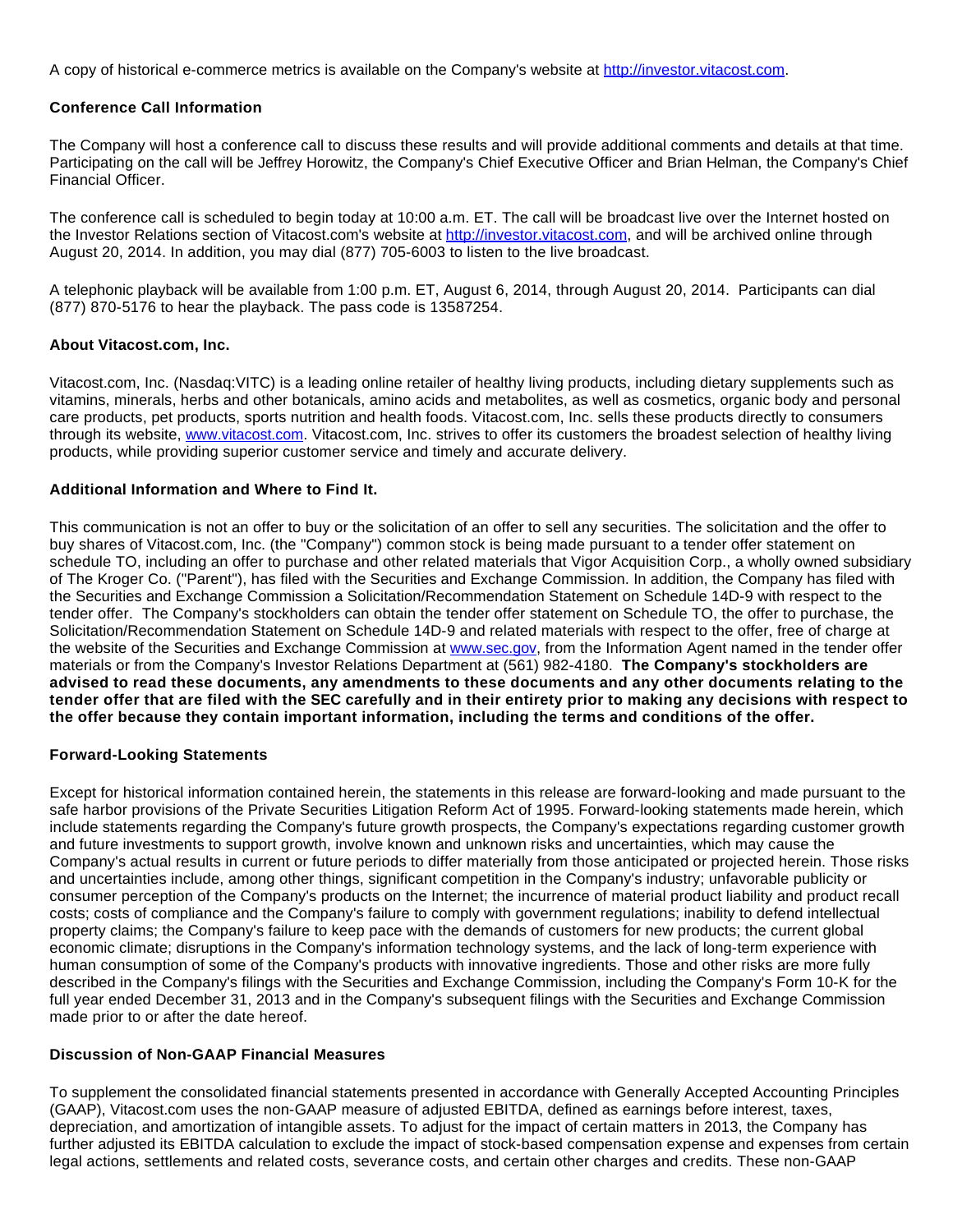A copy of historical e-commerce metrics is available on the Company's website at [http://investor.vitacost.com](http://www.globenewswire.com/newsroom/ctr?d=10093149&l=15&u=http%3A%2F%2Finvestor.vitacost.com).

## **Conference Call Information**

The Company will host a conference call to discuss these results and will provide additional comments and details at that time. Participating on the call will be Jeffrey Horowitz, the Company's Chief Executive Officer and Brian Helman, the Company's Chief Financial Officer.

The conference call is scheduled to begin today at 10:00 a.m. ET. The call will be broadcast live over the Internet hosted on the Investor Relations section of Vitacost.com's website at [http://investor.vitacost.com](http://www.globenewswire.com/newsroom/ctr?d=10093149&l=18&a=http%3A%2F%2Finvestor.vitacost.com&u=http%3A%2F%2Finvestor.vitacost.com%2F), and will be archived online through August 20, 2014. In addition, you may dial (877) 705-6003 to listen to the live broadcast.

A telephonic playback will be available from 1:00 p.m. ET, August 6, 2014, through August 20, 2014. Participants can dial (877) 870-5176 to hear the playback. The pass code is 13587254.

## **About Vitacost.com, Inc.**

Vitacost.com, Inc. (Nasdaq:VITC) is a leading online retailer of healthy living products, including dietary supplements such as vitamins, minerals, herbs and other botanicals, amino acids and metabolites, as well as cosmetics, organic body and personal care products, pet products, sports nutrition and health foods. Vitacost.com, Inc. sells these products directly to consumers through its website, [www.vitacost.com.](http://www.vitacost.com/) Vitacost.com, Inc. strives to offer its customers the broadest selection of healthy living products, while providing superior customer service and timely and accurate delivery.

## **Additional Information and Where to Find It.**

This communication is not an offer to buy or the solicitation of an offer to sell any securities. The solicitation and the offer to buy shares of Vitacost.com, Inc. (the "Company") common stock is being made pursuant to a tender offer statement on schedule TO, including an offer to purchase and other related materials that Vigor Acquisition Corp., a wholly owned subsidiary of The Kroger Co. ("Parent"), has filed with the Securities and Exchange Commission. In addition, the Company has filed with the Securities and Exchange Commission a Solicitation/Recommendation Statement on Schedule 14D-9 with respect to the tender offer. The Company's stockholders can obtain the tender offer statement on Schedule TO, the offer to purchase, the Solicitation/Recommendation Statement on Schedule 14D-9 and related materials with respect to the offer, free of charge at the website of the Securities and Exchange Commission at [www.sec.gov,](http://www.sec.gov/) from the Information Agent named in the tender offer materials or from the Company's Investor Relations Department at (561) 982-4180. **The Company's stockholders are advised to read these documents, any amendments to these documents and any other documents relating to the tender offer that are filed with the SEC carefully and in their entirety prior to making any decisions with respect to the offer because they contain important information, including the terms and conditions of the offer.**

## **Forward-Looking Statements**

Except for historical information contained herein, the statements in this release are forward-looking and made pursuant to the safe harbor provisions of the Private Securities Litigation Reform Act of 1995. Forward-looking statements made herein, which include statements regarding the Company's future growth prospects, the Company's expectations regarding customer growth and future investments to support growth, involve known and unknown risks and uncertainties, which may cause the Company's actual results in current or future periods to differ materially from those anticipated or projected herein. Those risks and uncertainties include, among other things, significant competition in the Company's industry; unfavorable publicity or consumer perception of the Company's products on the Internet; the incurrence of material product liability and product recall costs; costs of compliance and the Company's failure to comply with government regulations; inability to defend intellectual property claims; the Company's failure to keep pace with the demands of customers for new products; the current global economic climate; disruptions in the Company's information technology systems, and the lack of long-term experience with human consumption of some of the Company's products with innovative ingredients. Those and other risks are more fully described in the Company's filings with the Securities and Exchange Commission, including the Company's Form 10-K for the full year ended December 31, 2013 and in the Company's subsequent filings with the Securities and Exchange Commission made prior to or after the date hereof.

## **Discussion of Non-GAAP Financial Measures**

To supplement the consolidated financial statements presented in accordance with Generally Accepted Accounting Principles (GAAP), Vitacost.com uses the non-GAAP measure of adjusted EBITDA, defined as earnings before interest, taxes, depreciation, and amortization of intangible assets. To adjust for the impact of certain matters in 2013, the Company has further adjusted its EBITDA calculation to exclude the impact of stock-based compensation expense and expenses from certain legal actions, settlements and related costs, severance costs, and certain other charges and credits. These non-GAAP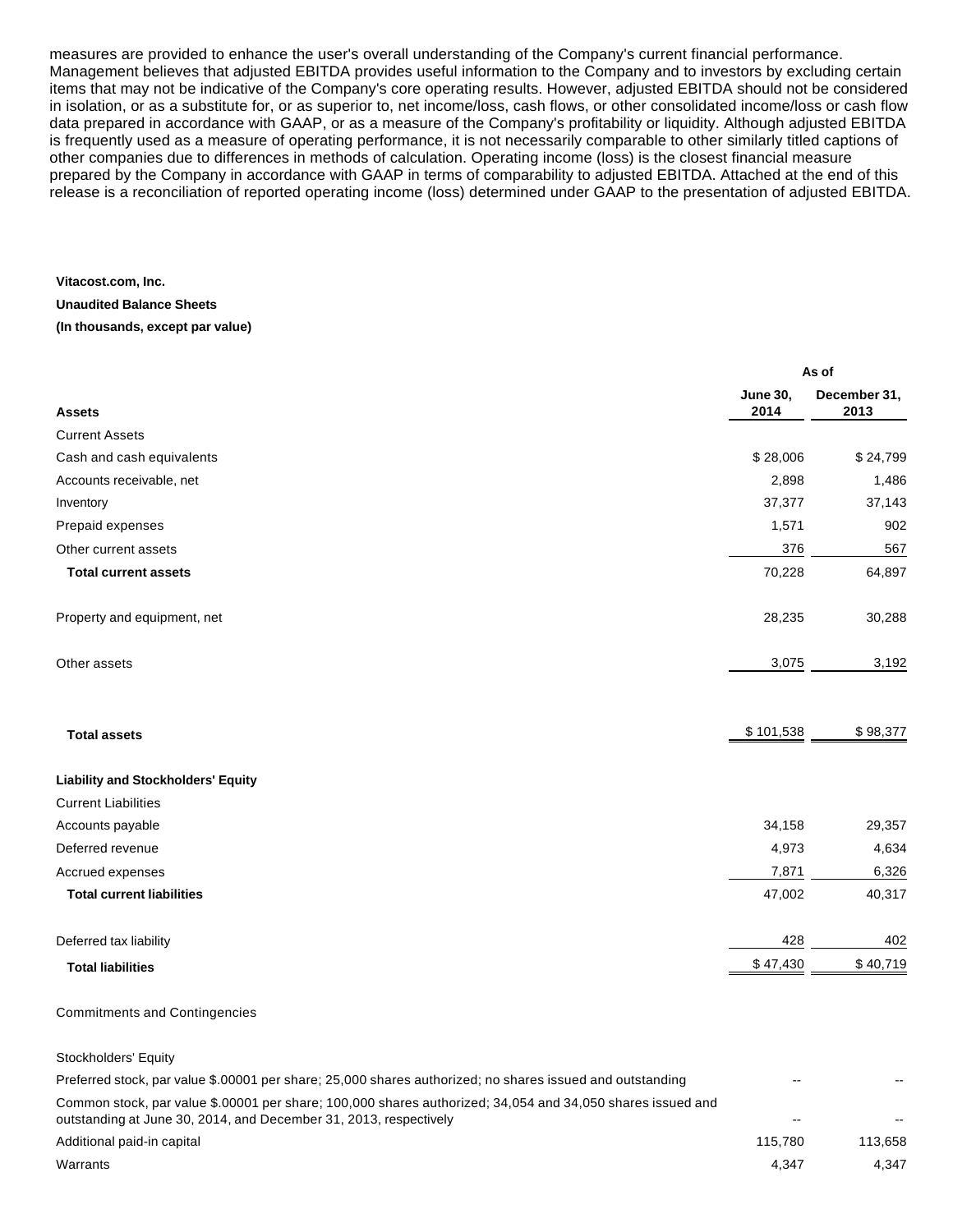measures are provided to enhance the user's overall understanding of the Company's current financial performance. Management believes that adjusted EBITDA provides useful information to the Company and to investors by excluding certain items that may not be indicative of the Company's core operating results. However, adjusted EBITDA should not be considered in isolation, or as a substitute for, or as superior to, net income/loss, cash flows, or other consolidated income/loss or cash flow data prepared in accordance with GAAP, or as a measure of the Company's profitability or liquidity. Although adjusted EBITDA is frequently used as a measure of operating performance, it is not necessarily comparable to other similarly titled captions of other companies due to differences in methods of calculation. Operating income (loss) is the closest financial measure prepared by the Company in accordance with GAAP in terms of comparability to adjusted EBITDA. Attached at the end of this release is a reconciliation of reported operating income (loss) determined under GAAP to the presentation of adjusted EBITDA.

## **Vitacost.com, Inc. Unaudited Balance Sheets**

**(In thousands, except par value)**

|                                           | As of                   |                      |  |
|-------------------------------------------|-------------------------|----------------------|--|
| <b>Assets</b>                             | <b>June 30,</b><br>2014 | December 31,<br>2013 |  |
| <b>Current Assets</b>                     |                         |                      |  |
| Cash and cash equivalents                 | \$28,006                | \$24,799             |  |
| Accounts receivable, net                  | 2,898                   | 1,486                |  |
| Inventory                                 | 37,377                  | 37,143               |  |
| Prepaid expenses                          | 1,571                   | 902                  |  |
| Other current assets                      | 376                     | 567                  |  |
| <b>Total current assets</b>               | 70,228                  | 64,897               |  |
| Property and equipment, net               | 28,235                  | 30,288               |  |
| Other assets                              | 3,075                   | 3,192                |  |
| <b>Total assets</b>                       | \$101,538               | \$98,377             |  |
| <b>Liability and Stockholders' Equity</b> |                         |                      |  |
| <b>Current Liabilities</b>                |                         |                      |  |
| Accounts payable                          | 34,158                  | 29,357               |  |
| Deferred revenue                          | 4,973                   | 4,634                |  |
| Accrued expenses                          | 7,871                   | 6,326                |  |
| <b>Total current liabilities</b>          | 47,002                  | 40,317               |  |
| Deferred tax liability                    | 428                     | 402                  |  |
| <b>Total liabilities</b>                  | \$47,430                | \$40,719             |  |
|                                           |                         |                      |  |

#### Commitments and Contingencies

Stockholders' Equity Preferred stock, par value \$.00001 per share; 25,000 shares authorized; no shares issued and outstanding Common stock, par value \$.00001 per share; 100,000 shares authorized; 34,054 and 34,050 shares issued and outstanding at June 30, 2014, and December 31, 2013, respectively Additional paid-in capital 115,658 notice that the control of the control of the control of the control of the control of the control of the control of the control of the control of the control of the control of the contro  $\blacksquare$  Marrants  $\hspace{1.6cm} 4,347$   $\hspace{1.6cm} 4,347$   $\hspace{1.6cm} 4,347$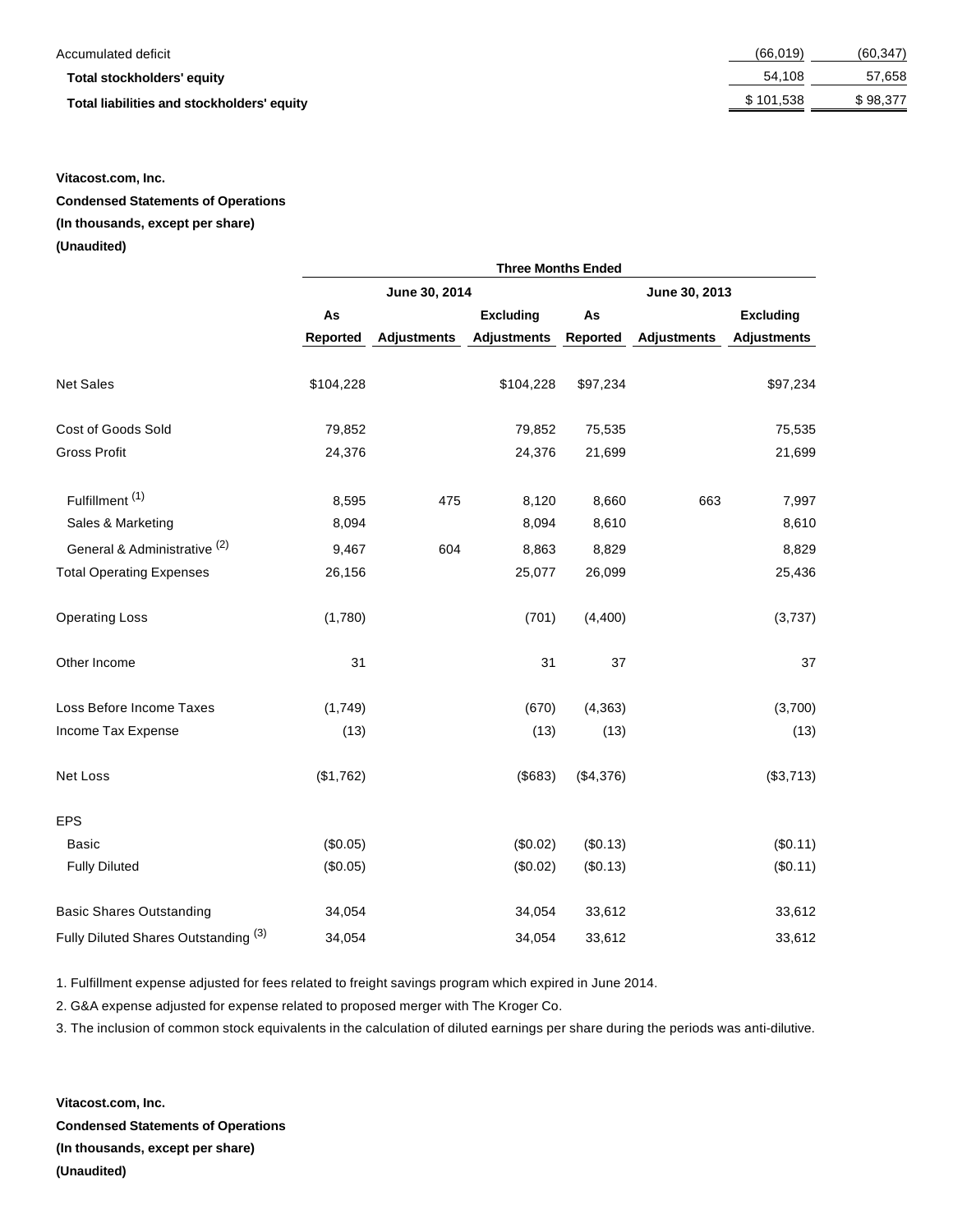#### Accumulated deficit

#### **Total stockholders' equity**

**Total liabilities and stockholders' equity** 

| (66, 019) | (60, 347) |
|-----------|-----------|
| 54,108    | 57,658    |
| \$101,538 | \$98,377  |

## **Vitacost.com, Inc.**

**Condensed Statements of Operations** 

## **(In thousands, except per share)**

#### **(Unaudited)**

|                                                 | <b>Three Months Ended</b> |                    |                    |           |                    |                    |
|-------------------------------------------------|---------------------------|--------------------|--------------------|-----------|--------------------|--------------------|
|                                                 | June 30, 2014             |                    | June 30, 2013      |           |                    |                    |
|                                                 | As                        |                    | <b>Excluding</b>   | As        |                    | <b>Excluding</b>   |
|                                                 | <b>Reported</b>           | <b>Adjustments</b> | <b>Adjustments</b> | Reported  | <b>Adjustments</b> | <b>Adjustments</b> |
| <b>Net Sales</b>                                | \$104,228                 |                    | \$104,228          | \$97,234  |                    | \$97,234           |
| Cost of Goods Sold                              | 79,852                    |                    | 79,852             | 75,535    |                    | 75,535             |
| <b>Gross Profit</b>                             | 24,376                    |                    | 24,376             | 21,699    |                    | 21,699             |
| Fulfillment <sup>(1)</sup>                      | 8,595                     | 475                | 8,120              | 8,660     | 663                | 7,997              |
| Sales & Marketing                               | 8,094                     |                    | 8,094              | 8,610     |                    | 8,610              |
| General & Administrative <sup>(2)</sup>         | 9,467                     | 604                | 8,863              | 8,829     |                    | 8,829              |
| <b>Total Operating Expenses</b>                 | 26,156                    |                    | 25,077             | 26,099    |                    | 25,436             |
| <b>Operating Loss</b>                           | (1,780)                   |                    | (701)              | (4, 400)  |                    | (3,737)            |
| Other Income                                    | 31                        |                    | 31                 | 37        |                    | 37                 |
| Loss Before Income Taxes                        | (1,749)                   |                    | (670)              | (4, 363)  |                    | (3,700)            |
| Income Tax Expense                              | (13)                      |                    | (13)               | (13)      |                    | (13)               |
| Net Loss                                        | (\$1,762)                 |                    | (\$683)            | (\$4,376) |                    | (\$3,713)          |
| <b>EPS</b>                                      |                           |                    |                    |           |                    |                    |
| <b>Basic</b>                                    | (\$0.05)                  |                    | (\$0.02)           | (\$0.13)  |                    | (\$0.11)           |
| <b>Fully Diluted</b>                            | (\$0.05)                  |                    | (\$0.02)           | (\$0.13)  |                    | (\$0.11)           |
| <b>Basic Shares Outstanding</b>                 | 34,054                    |                    | 34,054             | 33,612    |                    | 33,612             |
| Fully Diluted Shares Outstanding <sup>(3)</sup> | 34,054                    |                    | 34,054             | 33,612    |                    | 33,612             |

1. Fulfillment expense adjusted for fees related to freight savings program which expired in June 2014.

2. G&A expense adjusted for expense related to proposed merger with The Kroger Co.

3. The inclusion of common stock equivalents in the calculation of diluted earnings per share during the periods was anti-dilutive.

**Vitacost.com, Inc. Condensed Statements of Operations (In thousands, except per share) (Unaudited)**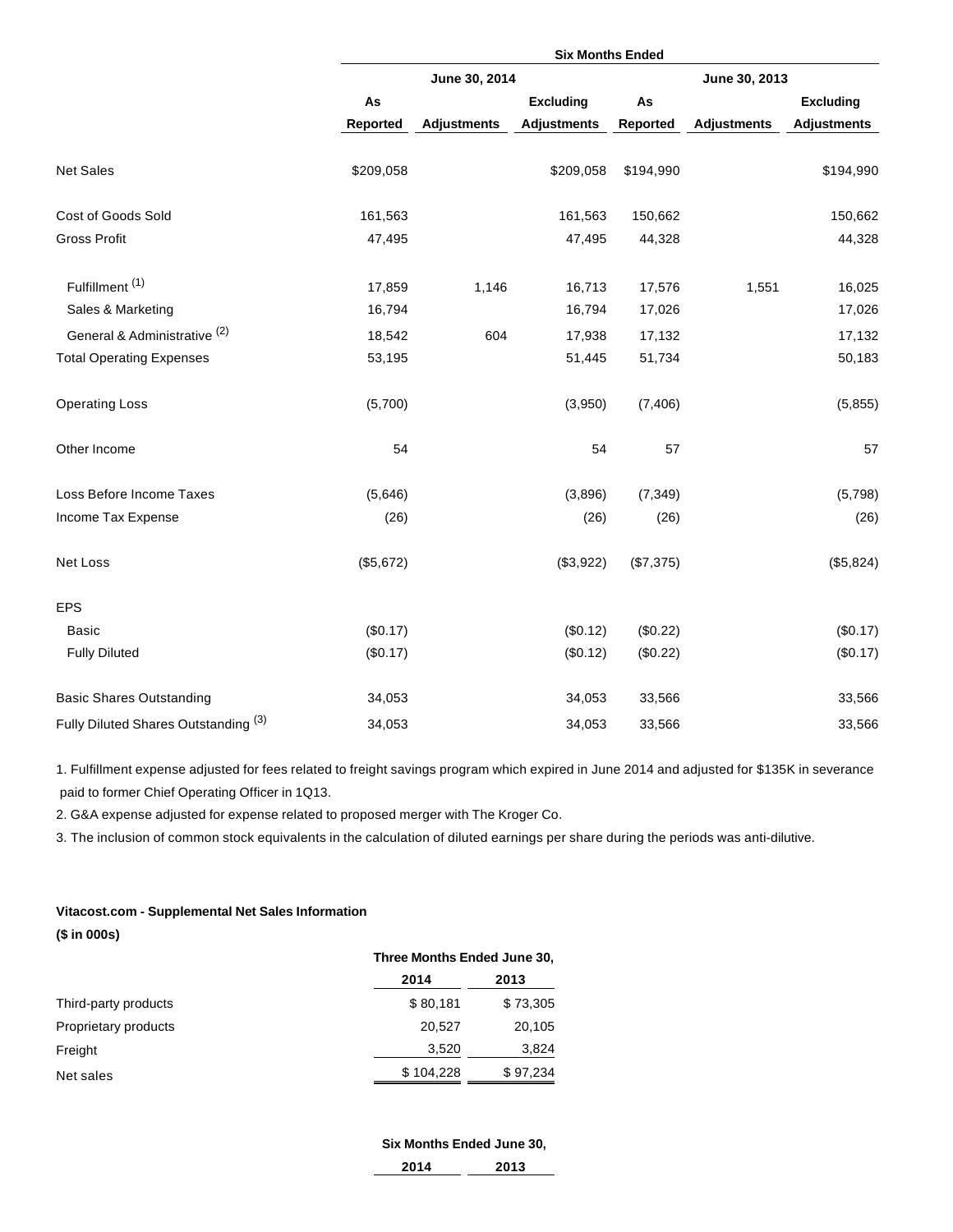|                                      | <b>Six Months Ended</b> |                    |                    |           |                    |                    |
|--------------------------------------|-------------------------|--------------------|--------------------|-----------|--------------------|--------------------|
|                                      | June 30, 2014           |                    | June 30, 2013      |           |                    |                    |
|                                      | As                      |                    | <b>Excluding</b>   | As        |                    | <b>Excluding</b>   |
|                                      | <b>Reported</b>         | <b>Adjustments</b> | <b>Adjustments</b> | Reported  | <b>Adjustments</b> | <b>Adjustments</b> |
| <b>Net Sales</b>                     | \$209,058               |                    | \$209,058          | \$194,990 |                    | \$194,990          |
| Cost of Goods Sold                   | 161,563                 |                    | 161,563            | 150,662   |                    | 150,662            |
| <b>Gross Profit</b>                  | 47,495                  |                    | 47,495             | 44,328    |                    | 44,328             |
| Fulfillment <sup>(1)</sup>           | 17,859                  | 1,146              | 16,713             | 17,576    | 1,551              | 16,025             |
| Sales & Marketing                    | 16,794                  |                    | 16,794             | 17,026    |                    | 17,026             |
| General & Administrative (2)         | 18,542                  | 604                | 17,938             | 17,132    |                    | 17,132             |
| <b>Total Operating Expenses</b>      | 53,195                  |                    | 51,445             | 51,734    |                    | 50,183             |
| <b>Operating Loss</b>                | (5,700)                 |                    | (3,950)            | (7, 406)  |                    | (5, 855)           |
| Other Income                         | 54                      |                    | 54                 | 57        |                    | 57                 |
| Loss Before Income Taxes             | (5,646)                 |                    | (3,896)            | (7, 349)  |                    | (5,798)            |
| Income Tax Expense                   | (26)                    |                    | (26)               | (26)      |                    | (26)               |
| Net Loss                             | (\$5,672)               |                    | (\$3,922)          | (\$7,375) |                    | (\$5,824)          |
| <b>EPS</b>                           |                         |                    |                    |           |                    |                    |
| <b>Basic</b>                         | (\$0.17)                |                    | (\$0.12)           | (\$0.22)  |                    | (\$0.17)           |
| <b>Fully Diluted</b>                 | (\$0.17)                |                    | (\$0.12)           | (\$0.22)  |                    | (\$0.17)           |
| <b>Basic Shares Outstanding</b>      | 34,053                  |                    | 34,053             | 33,566    |                    | 33,566             |
| Fully Diluted Shares Outstanding (3) | 34,053                  |                    | 34,053             | 33,566    |                    | 33,566             |

1. Fulfillment expense adjusted for fees related to freight savings program which expired in June 2014 and adjusted for \$135K in severance paid to former Chief Operating Officer in 1Q13.

2. G&A expense adjusted for expense related to proposed merger with The Kroger Co.

3. The inclusion of common stock equivalents in the calculation of diluted earnings per share during the periods was anti-dilutive.

## **Vitacost.com - Supplemental Net Sales Information (\$ in 000s)**

|                      | Three Months Ended June 30, |          |  |
|----------------------|-----------------------------|----------|--|
|                      | 2014                        | 2013     |  |
| Third-party products | \$80,181                    | \$73,305 |  |
| Proprietary products | 20.527                      | 20,105   |  |
| Freight              | 3,520                       | 3,824    |  |
| Net sales            | \$104,228                   | \$97,234 |  |

# **Six Months Ended June 30,**

| <b>14</b><br>.<br>__ | $\lambda$<br>. 13. |
|----------------------|--------------------|
|                      |                    |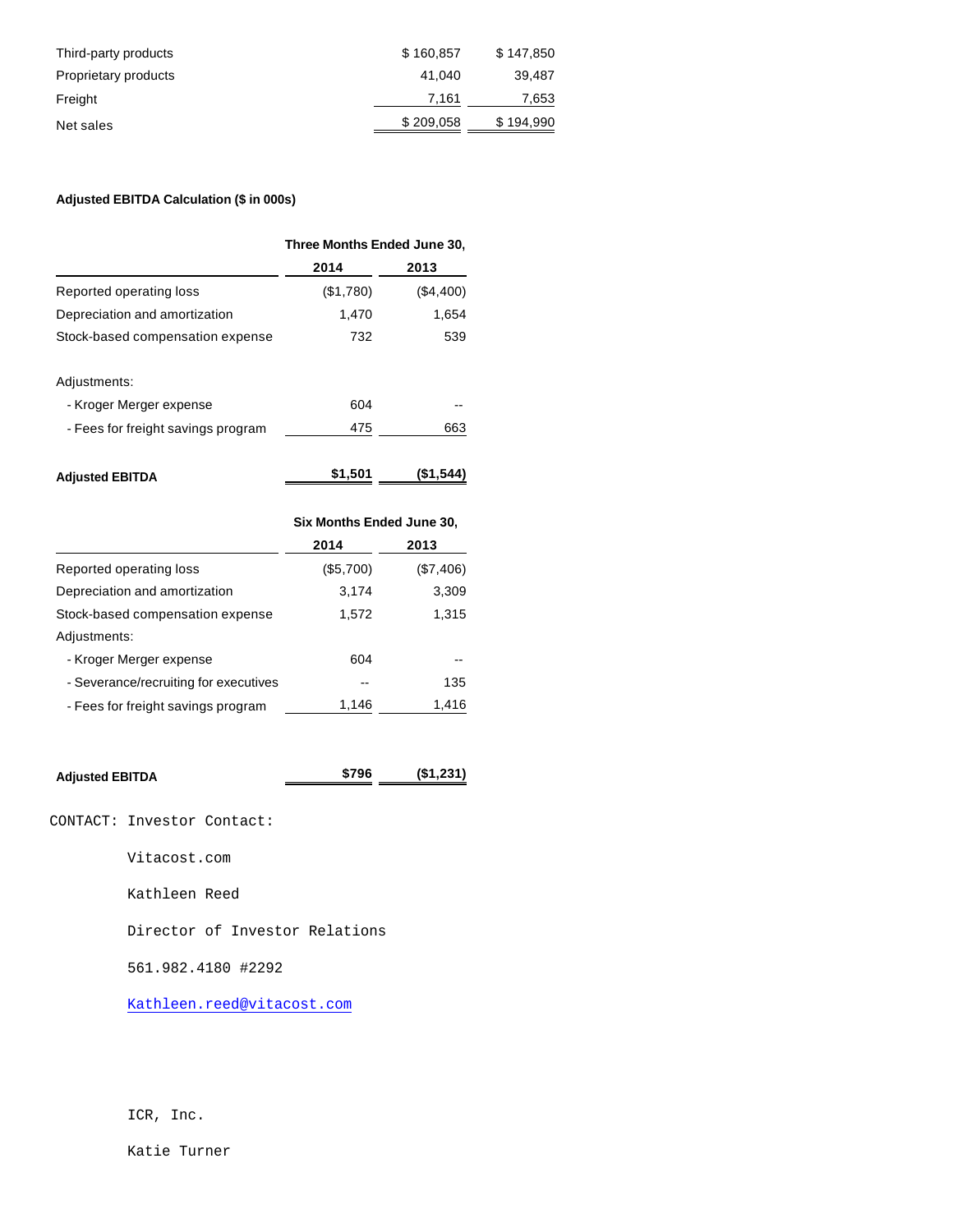| Third-party products | \$160.857 | \$147,850 |
|----------------------|-----------|-----------|
| Proprietary products | 41.040    | 39.487    |
| Freight              | 7.161     | 7,653     |
| Net sales            | \$209,058 | \$194,990 |

## **Adjusted EBITDA Calculation (\$ in 000s)**

|                                    | Three Months Ended June 30, |           |  |
|------------------------------------|-----------------------------|-----------|--|
|                                    | 2014                        | 2013      |  |
| Reported operating loss            | (\$1,780)                   | (\$4,400) |  |
| Depreciation and amortization      | 1,470                       | 1,654     |  |
| Stock-based compensation expense   | 732                         | 539       |  |
| Adjustments:                       |                             |           |  |
| - Kroger Merger expense            | 604                         |           |  |
| - Fees for freight savings program | 475                         | 663       |  |
| <b>Adjusted EBITDA</b>             | \$1,501                     | (\$1,544  |  |

|                                       | Six Months Ended June 30, |           |  |
|---------------------------------------|---------------------------|-----------|--|
|                                       | 2014                      | 2013      |  |
| Reported operating loss               | (\$5,700)                 | (\$7,406) |  |
| Depreciation and amortization         | 3,174                     | 3,309     |  |
| Stock-based compensation expense      | 1,572                     | 1,315     |  |
| Adjustments:                          |                           |           |  |
| - Kroger Merger expense               | 604                       |           |  |
| - Severance/recruiting for executives |                           | 135       |  |
| - Fees for freight savings program    | 1,146                     | 1,416     |  |

| <b>Adjusted EBITDA</b> | \$796 | (\$1,231) |
|------------------------|-------|-----------|
|                        |       |           |

CONTACT: Investor Contact:

Vitacost.com

Kathleen Reed

Director of Investor Relations

561.982.4180 #2292

[Kathleen.reed@vitacost.com](mailto:Kathleen.reed@vitacost.com)

ICR, Inc.

Katie Turner